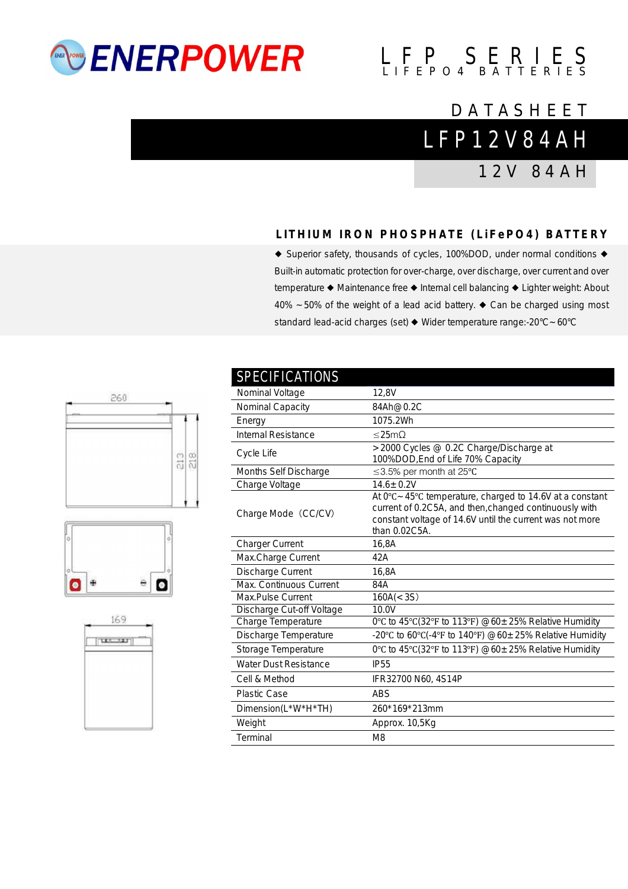## *<b>ENERPOWER*

# $L$   $F$   $P$   $S$   $E$   $R$   $I$   $E$   $S$

### **DATASHEET**

L F P 1 2 V 8 4 A H

1 2 V 8 4 A H

### **L I T H I U M I R O N P H O S P H A T E ( L i F e P O 4 ) B A T T E R Y**

◆ Superior safety, thousands of cycles, 100%DOD, under normal conditions ◆ Built-in automatic protection for over-charge, over discharge, over current and over temperature ◆ Maintenance free ◆ Internal cell balancing ◆ Lighter weight: About 40% ~50% of the weight of a lead acid battery. ◆ Can be charged using most standard lead-acid charges (set) ◆ Wider temperature range:-20°C~60°C

| טווטווווטו ווטבווט           |                                                                                                                                                                                                  |
|------------------------------|--------------------------------------------------------------------------------------------------------------------------------------------------------------------------------------------------|
| Nominal Voltage              | 12,8V                                                                                                                                                                                            |
| Nominal Capacity             | 84Ah@0.2C                                                                                                                                                                                        |
| Energy                       | 1075.2Wh                                                                                                                                                                                         |
| <b>Internal Resistance</b>   | ≤25mΩ                                                                                                                                                                                            |
| Cycle Life                   | >2000 Cycles @ 0.2C Charge/Discharge at<br>100%DOD, End of Life 70% Capacity                                                                                                                     |
| Months Self Discharge        | ≤3.5% per month at 25 $°C$                                                                                                                                                                       |
| Charge Voltage               | $14.6 \pm 0.2V$                                                                                                                                                                                  |
| Charge Mode (CC/CV)          | At 0°C ~ 45°C temperature, charged to 14.6V at a constant<br>current of 0.2C5A, and then, changed continuously with<br>constant voltage of 14.6V until the current was not more<br>than 0.02C5A. |
| <b>Charger Current</b>       | 16,8A                                                                                                                                                                                            |
| Max.Charge Current           | 42A                                                                                                                                                                                              |
| Discharge Current            | 16,8A                                                                                                                                                                                            |
| Max. Continuous Current      | 84A                                                                                                                                                                                              |
| Max.Pulse Current            | 160A(< 3S)                                                                                                                                                                                       |
| Discharge Cut-off Voltage    | 10.0V                                                                                                                                                                                            |
| Charge Temperature           | 0°C to 45°C(32°F to 113°F) $@60 \pm 25\%$ Relative Humidity                                                                                                                                      |
| Discharge Temperature        | -20°C to 60°C(-4°F to 140°F) @60 $\pm$ 25% Relative Humidity                                                                                                                                     |
| Storage Temperature          | 0°C to 45°C(32°F to 113°F) @60 $\pm$ 25% Relative Humidity                                                                                                                                       |
| <b>Water Dust Resistance</b> | <b>IP55</b>                                                                                                                                                                                      |
| Cell & Method                | IFR32700 N60, 4S14P                                                                                                                                                                              |
| Plastic Case                 | <b>ABS</b>                                                                                                                                                                                       |
| Dimension(L*W*H*TH)          | 260*169*213mm                                                                                                                                                                                    |
| Weight                       | Approx. 10,5Kg                                                                                                                                                                                   |
|                              |                                                                                                                                                                                                  |

**SPECIFICATIONS**